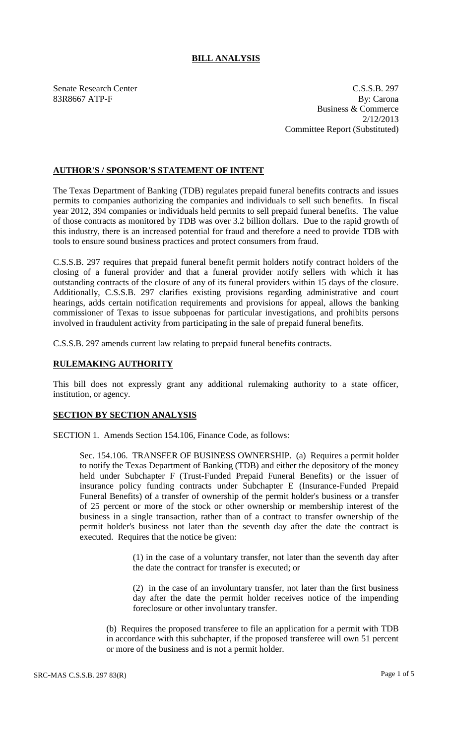## **BILL ANALYSIS**

Senate Research Center C.S.S.B. 297 83R8667 ATP-F By: Carona Business & Commerce 2/12/2013 Committee Report (Substituted)

## **AUTHOR'S / SPONSOR'S STATEMENT OF INTENT**

The Texas Department of Banking (TDB) regulates prepaid funeral benefits contracts and issues permits to companies authorizing the companies and individuals to sell such benefits. In fiscal year 2012, 394 companies or individuals held permits to sell prepaid funeral benefits. The value of those contracts as monitored by TDB was over 3.2 billion dollars. Due to the rapid growth of this industry, there is an increased potential for fraud and therefore a need to provide TDB with tools to ensure sound business practices and protect consumers from fraud.

C.S.S.B. 297 requires that prepaid funeral benefit permit holders notify contract holders of the closing of a funeral provider and that a funeral provider notify sellers with which it has outstanding contracts of the closure of any of its funeral providers within 15 days of the closure. Additionally, C.S.S.B. 297 clarifies existing provisions regarding administrative and court hearings, adds certain notification requirements and provisions for appeal, allows the banking commissioner of Texas to issue subpoenas for particular investigations, and prohibits persons involved in fraudulent activity from participating in the sale of prepaid funeral benefits.

C.S.S.B. 297 amends current law relating to prepaid funeral benefits contracts.

## **RULEMAKING AUTHORITY**

This bill does not expressly grant any additional rulemaking authority to a state officer, institution, or agency.

## **SECTION BY SECTION ANALYSIS**

SECTION 1. Amends Section 154.106, Finance Code, as follows:

Sec. 154.106. TRANSFER OF BUSINESS OWNERSHIP. (a) Requires a permit holder to notify the Texas Department of Banking (TDB) and either the depository of the money held under Subchapter F (Trust-Funded Prepaid Funeral Benefits) or the issuer of insurance policy funding contracts under Subchapter E (Insurance-Funded Prepaid Funeral Benefits) of a transfer of ownership of the permit holder's business or a transfer of 25 percent or more of the stock or other ownership or membership interest of the business in a single transaction, rather than of a contract to transfer ownership of the permit holder's business not later than the seventh day after the date the contract is executed. Requires that the notice be given:

> (1) in the case of a voluntary transfer, not later than the seventh day after the date the contract for transfer is executed; or

> (2) in the case of an involuntary transfer, not later than the first business day after the date the permit holder receives notice of the impending foreclosure or other involuntary transfer.

(b) Requires the proposed transferee to file an application for a permit with TDB in accordance with this subchapter, if the proposed transferee will own 51 percent or more of the business and is not a permit holder.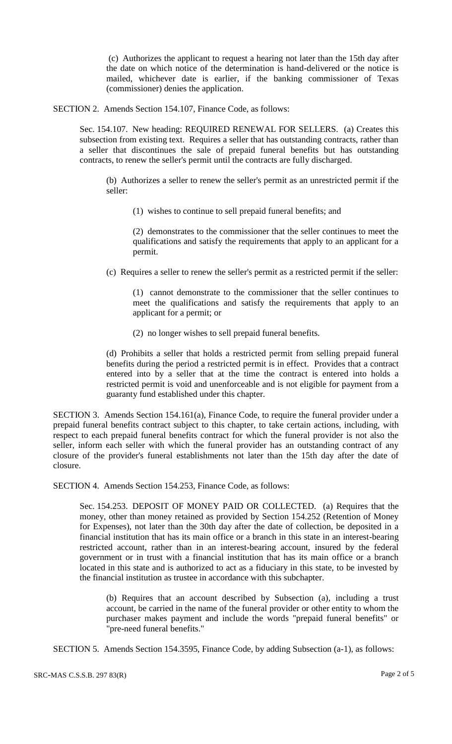(c) Authorizes the applicant to request a hearing not later than the 15th day after the date on which notice of the determination is hand-delivered or the notice is mailed, whichever date is earlier, if the banking commissioner of Texas (commissioner) denies the application.

SECTION 2. Amends Section 154.107, Finance Code, as follows:

Sec. 154.107. New heading: REQUIRED RENEWAL FOR SELLERS. (a) Creates this subsection from existing text. Requires a seller that has outstanding contracts, rather than a seller that discontinues the sale of prepaid funeral benefits but has outstanding contracts, to renew the seller's permit until the contracts are fully discharged.

(b) Authorizes a seller to renew the seller's permit as an unrestricted permit if the seller:

(1) wishes to continue to sell prepaid funeral benefits; and

(2) demonstrates to the commissioner that the seller continues to meet the qualifications and satisfy the requirements that apply to an applicant for a permit.

(c) Requires a seller to renew the seller's permit as a restricted permit if the seller:

(1) cannot demonstrate to the commissioner that the seller continues to meet the qualifications and satisfy the requirements that apply to an applicant for a permit; or

(2) no longer wishes to sell prepaid funeral benefits.

(d) Prohibits a seller that holds a restricted permit from selling prepaid funeral benefits during the period a restricted permit is in effect. Provides that a contract entered into by a seller that at the time the contract is entered into holds a restricted permit is void and unenforceable and is not eligible for payment from a guaranty fund established under this chapter.

SECTION 3. Amends Section 154.161(a), Finance Code, to require the funeral provider under a prepaid funeral benefits contract subject to this chapter, to take certain actions, including, with respect to each prepaid funeral benefits contract for which the funeral provider is not also the seller, inform each seller with which the funeral provider has an outstanding contract of any closure of the provider's funeral establishments not later than the 15th day after the date of closure.

SECTION 4. Amends Section 154.253, Finance Code, as follows:

Sec. 154.253. DEPOSIT OF MONEY PAID OR COLLECTED. (a) Requires that the money, other than money retained as provided by Section 154.252 (Retention of Money for Expenses), not later than the 30th day after the date of collection, be deposited in a financial institution that has its main office or a branch in this state in an interest-bearing restricted account, rather than in an interest-bearing account, insured by the federal government or in trust with a financial institution that has its main office or a branch located in this state and is authorized to act as a fiduciary in this state, to be invested by the financial institution as trustee in accordance with this subchapter.

(b) Requires that an account described by Subsection (a), including a trust account, be carried in the name of the funeral provider or other entity to whom the purchaser makes payment and include the words "prepaid funeral benefits" or "pre-need funeral benefits."

SECTION 5. Amends Section 154.3595, Finance Code, by adding Subsection (a-1), as follows: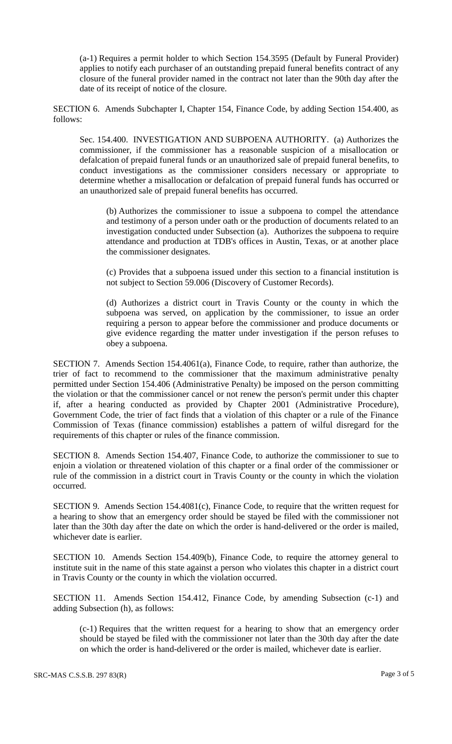(a-1) Requires a permit holder to which Section 154.3595 (Default by Funeral Provider) applies to notify each purchaser of an outstanding prepaid funeral benefits contract of any closure of the funeral provider named in the contract not later than the 90th day after the date of its receipt of notice of the closure.

SECTION 6. Amends Subchapter I, Chapter 154, Finance Code, by adding Section 154.400, as follows:

Sec. 154.400. INVESTIGATION AND SUBPOENA AUTHORITY. (a) Authorizes the commissioner, if the commissioner has a reasonable suspicion of a misallocation or defalcation of prepaid funeral funds or an unauthorized sale of prepaid funeral benefits, to conduct investigations as the commissioner considers necessary or appropriate to determine whether a misallocation or defalcation of prepaid funeral funds has occurred or an unauthorized sale of prepaid funeral benefits has occurred.

(b) Authorizes the commissioner to issue a subpoena to compel the attendance and testimony of a person under oath or the production of documents related to an investigation conducted under Subsection (a). Authorizes the subpoena to require attendance and production at TDB's offices in Austin, Texas, or at another place the commissioner designates.

(c) Provides that a subpoena issued under this section to a financial institution is not subject to Section 59.006 (Discovery of Customer Records).

(d) Authorizes a district court in Travis County or the county in which the subpoena was served, on application by the commissioner, to issue an order requiring a person to appear before the commissioner and produce documents or give evidence regarding the matter under investigation if the person refuses to obey a subpoena.

SECTION 7. Amends Section 154.4061(a), Finance Code, to require, rather than authorize, the trier of fact to recommend to the commissioner that the maximum administrative penalty permitted under Section 154.406 (Administrative Penalty) be imposed on the person committing the violation or that the commissioner cancel or not renew the person's permit under this chapter if, after a hearing conducted as provided by Chapter 2001 (Administrative Procedure), Government Code, the trier of fact finds that a violation of this chapter or a rule of the Finance Commission of Texas (finance commission) establishes a pattern of wilful disregard for the requirements of this chapter or rules of the finance commission.

SECTION 8. Amends Section 154.407, Finance Code, to authorize the commissioner to sue to enjoin a violation or threatened violation of this chapter or a final order of the commissioner or rule of the commission in a district court in Travis County or the county in which the violation occurred.

SECTION 9. Amends Section 154.4081(c), Finance Code, to require that the written request for a hearing to show that an emergency order should be stayed be filed with the commissioner not later than the 30th day after the date on which the order is hand-delivered or the order is mailed, whichever date is earlier.

SECTION 10. Amends Section 154.409(b), Finance Code, to require the attorney general to institute suit in the name of this state against a person who violates this chapter in a district court in Travis County or the county in which the violation occurred.

SECTION 11. Amends Section 154.412, Finance Code, by amending Subsection (c-1) and adding Subsection (h), as follows:

(c-1) Requires that the written request for a hearing to show that an emergency order should be stayed be filed with the commissioner not later than the 30th day after the date on which the order is hand-delivered or the order is mailed, whichever date is earlier.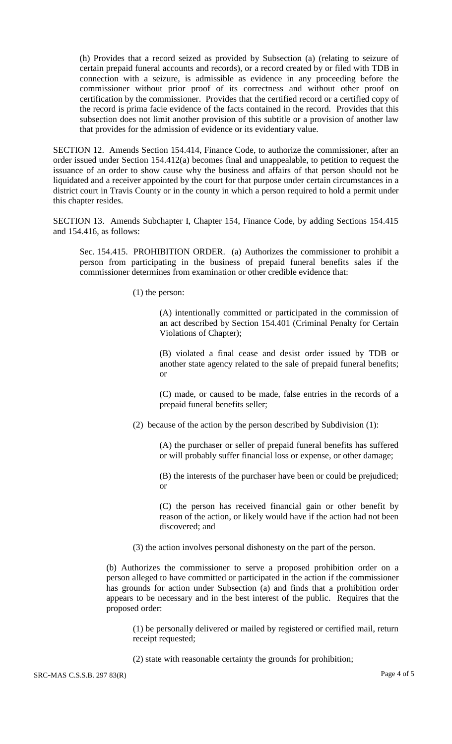(h) Provides that a record seized as provided by Subsection (a) (relating to seizure of certain prepaid funeral accounts and records), or a record created by or filed with TDB in connection with a seizure, is admissible as evidence in any proceeding before the commissioner without prior proof of its correctness and without other proof on certification by the commissioner. Provides that the certified record or a certified copy of the record is prima facie evidence of the facts contained in the record. Provides that this subsection does not limit another provision of this subtitle or a provision of another law that provides for the admission of evidence or its evidentiary value.

SECTION 12. Amends Section 154.414, Finance Code, to authorize the commissioner, after an order issued under Section 154.412(a) becomes final and unappealable, to petition to request the issuance of an order to show cause why the business and affairs of that person should not be liquidated and a receiver appointed by the court for that purpose under certain circumstances in a district court in Travis County or in the county in which a person required to hold a permit under this chapter resides.

SECTION 13. Amends Subchapter I, Chapter 154, Finance Code, by adding Sections 154.415 and 154.416, as follows:

Sec. 154.415. PROHIBITION ORDER. (a) Authorizes the commissioner to prohibit a person from participating in the business of prepaid funeral benefits sales if the commissioner determines from examination or other credible evidence that:

(1) the person:

(A) intentionally committed or participated in the commission of an act described by Section 154.401 (Criminal Penalty for Certain Violations of Chapter);

(B) violated a final cease and desist order issued by TDB or another state agency related to the sale of prepaid funeral benefits; or

(C) made, or caused to be made, false entries in the records of a prepaid funeral benefits seller;

(2) because of the action by the person described by Subdivision (1):

(A) the purchaser or seller of prepaid funeral benefits has suffered or will probably suffer financial loss or expense, or other damage;

(B) the interests of the purchaser have been or could be prejudiced; or

(C) the person has received financial gain or other benefit by reason of the action, or likely would have if the action had not been discovered; and

(3) the action involves personal dishonesty on the part of the person.

(b) Authorizes the commissioner to serve a proposed prohibition order on a person alleged to have committed or participated in the action if the commissioner has grounds for action under Subsection (a) and finds that a prohibition order appears to be necessary and in the best interest of the public. Requires that the proposed order:

(1) be personally delivered or mailed by registered or certified mail, return receipt requested;

(2) state with reasonable certainty the grounds for prohibition;